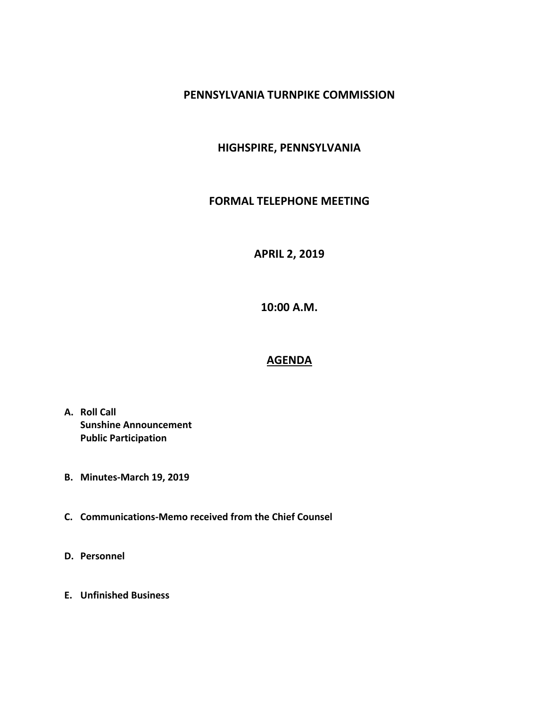#### **PENNSYLVANIA TURNPIKE COMMISSION**

### **HIGHSPIRE, PENNSYLVANIA**

#### **FORMAL TELEPHONE MEETING**

# **APRIL 2, 2019**

**10:00 A.M.**

# **AGENDA**

- **A. Roll Call Sunshine Announcement Public Participation**
- **B. Minutes-March 19, 2019**
- **C. Communications-Memo received from the Chief Counsel**
- **D. Personnel**
- **E. Unfinished Business**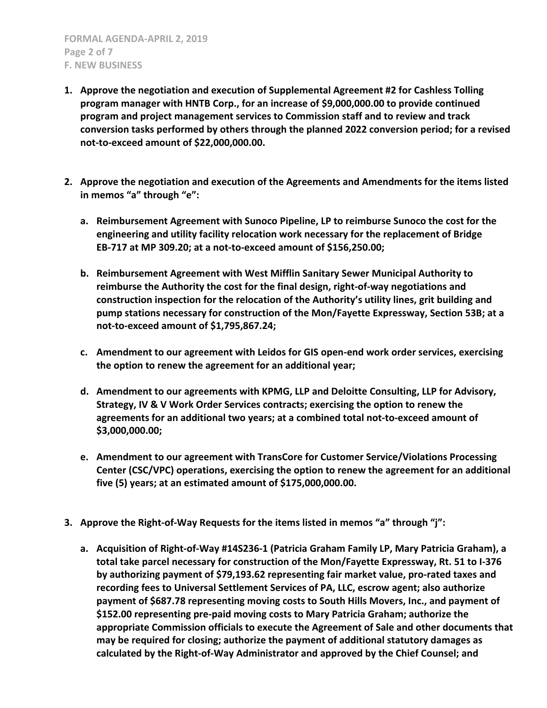- **1. Approve the negotiation and execution of Supplemental Agreement #2 for Cashless Tolling program manager with HNTB Corp., for an increase of \$9,000,000.00 to provide continued program and project management services to Commission staff and to review and track conversion tasks performed by others through the planned 2022 conversion period; for a revised not-to-exceed amount of \$22,000,000.00.**
- **2. Approve the negotiation and execution of the Agreements and Amendments for the items listed in memos "a" through "e":**
	- **a. Reimbursement Agreement with Sunoco Pipeline, LP to reimburse Sunoco the cost for the engineering and utility facility relocation work necessary for the replacement of Bridge EB-717 at MP 309.20; at a not-to-exceed amount of \$156,250.00;**
	- **b. Reimbursement Agreement with West Mifflin Sanitary Sewer Municipal Authority to reimburse the Authority the cost for the final design, right-of-way negotiations and construction inspection for the relocation of the Authority's utility lines, grit building and pump stations necessary for construction of the Mon/Fayette Expressway, Section 53B; at a not-to-exceed amount of \$1,795,867.24;**
	- **c. Amendment to our agreement with Leidos for GIS open-end work order services, exercising the option to renew the agreement for an additional year;**
	- **d. Amendment to our agreements with KPMG, LLP and Deloitte Consulting, LLP for Advisory, Strategy, IV & V Work Order Services contracts; exercising the option to renew the agreements for an additional two years; at a combined total not-to-exceed amount of \$3,000,000.00;**
	- **e. Amendment to our agreement with TransCore for Customer Service/Violations Processing Center (CSC/VPC) operations, exercising the option to renew the agreement for an additional five (5) years; at an estimated amount of \$175,000,000.00.**
- **3. Approve the Right-of-Way Requests for the items listed in memos "a" through "j":**
	- **a. Acquisition of Right-of-Way #14S236-1 (Patricia Graham Family LP, Mary Patricia Graham), a total take parcel necessary for construction of the Mon/Fayette Expressway, Rt. 51 to I-376 by authorizing payment of \$79,193.62 representing fair market value, pro-rated taxes and recording fees to Universal Settlement Services of PA, LLC, escrow agent; also authorize payment of \$687.78 representing moving costs to South Hills Movers, Inc., and payment of \$152.00 representing pre-paid moving costs to Mary Patricia Graham; authorize the appropriate Commission officials to execute the Agreement of Sale and other documents that may be required for closing; authorize the payment of additional statutory damages as calculated by the Right-of-Way Administrator and approved by the Chief Counsel; and**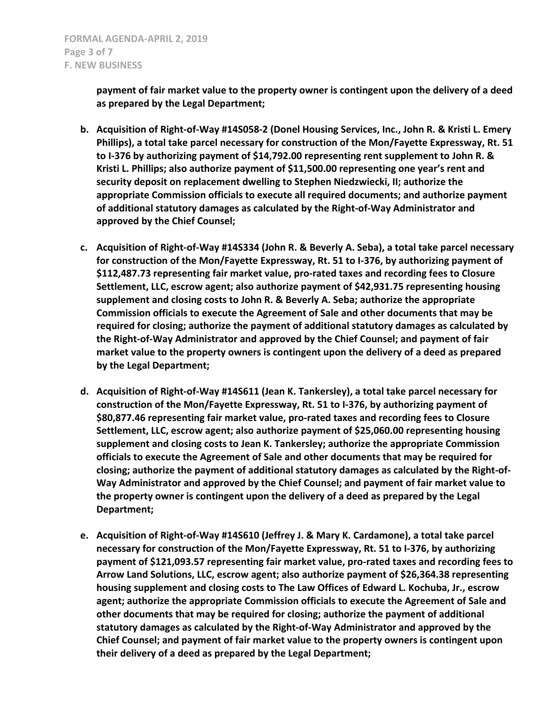**payment of fair market value to the property owner is contingent upon the delivery of a deed as prepared by the Legal Department;**

- **b. Acquisition of Right-of-Way #14S058-2 (Donel Housing Services, Inc., John R. & Kristi L. Emery Phillips), a total take parcel necessary for construction of the Mon/Fayette Expressway, Rt. 51 to I-376 by authorizing payment of \$14,792.00 representing rent supplement to John R. & Kristi L. Phillips; also authorize payment of \$11,500.00 representing one year's rent and security deposit on replacement dwelling to Stephen Niedzwiecki, II; authorize the appropriate Commission officials to execute all required documents; and authorize payment of additional statutory damages as calculated by the Right-of-Way Administrator and approved by the Chief Counsel;**
- **c. Acquisition of Right-of-Way #14S334 (John R. & Beverly A. Seba), a total take parcel necessary for construction of the Mon/Fayette Expressway, Rt. 51 to I-376, by authorizing payment of \$112,487.73 representing fair market value, pro-rated taxes and recording fees to Closure Settlement, LLC, escrow agent; also authorize payment of \$42,931.75 representing housing supplement and closing costs to John R. & Beverly A. Seba; authorize the appropriate Commission officials to execute the Agreement of Sale and other documents that may be required for closing; authorize the payment of additional statutory damages as calculated by the Right-of-Way Administrator and approved by the Chief Counsel; and payment of fair market value to the property owners is contingent upon the delivery of a deed as prepared by the Legal Department;**
- **d. Acquisition of Right-of-Way #14S611 (Jean K. Tankersley), a total take parcel necessary for construction of the Mon/Fayette Expressway, Rt. 51 to I-376, by authorizing payment of \$80,877.46 representing fair market value, pro-rated taxes and recording fees to Closure Settlement, LLC, escrow agent; also authorize payment of \$25,060.00 representing housing supplement and closing costs to Jean K. Tankersley; authorize the appropriate Commission officials to execute the Agreement of Sale and other documents that may be required for closing; authorize the payment of additional statutory damages as calculated by the Right-of-Way Administrator and approved by the Chief Counsel; and payment of fair market value to the property owner is contingent upon the delivery of a deed as prepared by the Legal Department;**
- **e. Acquisition of Right-of-Way #14S610 (Jeffrey J. & Mary K. Cardamone), a total take parcel necessary for construction of the Mon/Fayette Expressway, Rt. 51 to I-376, by authorizing payment of \$121,093.57 representing fair market value, pro-rated taxes and recording fees to Arrow Land Solutions, LLC, escrow agent; also authorize payment of \$26,364.38 representing housing supplement and closing costs to The Law Offices of Edward L. Kochuba, Jr., escrow agent; authorize the appropriate Commission officials to execute the Agreement of Sale and other documents that may be required for closing; authorize the payment of additional statutory damages as calculated by the Right-of-Way Administrator and approved by the Chief Counsel; and payment of fair market value to the property owners is contingent upon their delivery of a deed as prepared by the Legal Department;**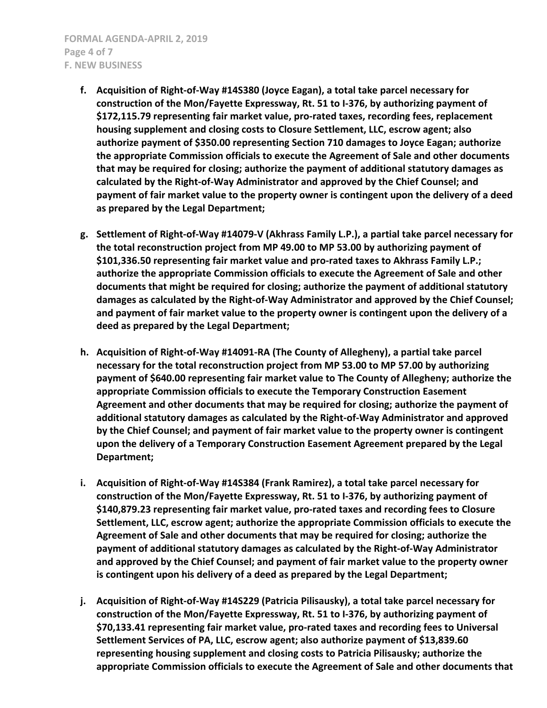- **f. Acquisition of Right-of-Way #14S380 (Joyce Eagan), a total take parcel necessary for construction of the Mon/Fayette Expressway, Rt. 51 to I-376, by authorizing payment of \$172,115.79 representing fair market value, pro-rated taxes, recording fees, replacement housing supplement and closing costs to Closure Settlement, LLC, escrow agent; also authorize payment of \$350.00 representing Section 710 damages to Joyce Eagan; authorize the appropriate Commission officials to execute the Agreement of Sale and other documents that may be required for closing; authorize the payment of additional statutory damages as calculated by the Right-of-Way Administrator and approved by the Chief Counsel; and payment of fair market value to the property owner is contingent upon the delivery of a deed as prepared by the Legal Department;**
- **g. Settlement of Right-of-Way #14079-V (Akhrass Family L.P.), a partial take parcel necessary for the total reconstruction project from MP 49.00 to MP 53.00 by authorizing payment of \$101,336.50 representing fair market value and pro-rated taxes to Akhrass Family L.P.; authorize the appropriate Commission officials to execute the Agreement of Sale and other documents that might be required for closing; authorize the payment of additional statutory damages as calculated by the Right-of-Way Administrator and approved by the Chief Counsel; and payment of fair market value to the property owner is contingent upon the delivery of a deed as prepared by the Legal Department;**
- **h. Acquisition of Right-of-Way #14091-RA (The County of Allegheny), a partial take parcel necessary for the total reconstruction project from MP 53.00 to MP 57.00 by authorizing payment of \$640.00 representing fair market value to The County of Allegheny; authorize the appropriate Commission officials to execute the Temporary Construction Easement Agreement and other documents that may be required for closing; authorize the payment of additional statutory damages as calculated by the Right-of-Way Administrator and approved by the Chief Counsel; and payment of fair market value to the property owner is contingent upon the delivery of a Temporary Construction Easement Agreement prepared by the Legal Department;**
- **i. Acquisition of Right-of-Way #14S384 (Frank Ramirez), a total take parcel necessary for construction of the Mon/Fayette Expressway, Rt. 51 to I-376, by authorizing payment of \$140,879.23 representing fair market value, pro-rated taxes and recording fees to Closure Settlement, LLC, escrow agent; authorize the appropriate Commission officials to execute the Agreement of Sale and other documents that may be required for closing; authorize the payment of additional statutory damages as calculated by the Right-of-Way Administrator and approved by the Chief Counsel; and payment of fair market value to the property owner is contingent upon his delivery of a deed as prepared by the Legal Department;**
- **j. Acquisition of Right-of-Way #14S229 (Patricia Pilisausky), a total take parcel necessary for construction of the Mon/Fayette Expressway, Rt. 51 to I-376, by authorizing payment of \$70,133.41 representing fair market value, pro-rated taxes and recording fees to Universal Settlement Services of PA, LLC, escrow agent; also authorize payment of \$13,839.60 representing housing supplement and closing costs to Patricia Pilisausky; authorize the appropriate Commission officials to execute the Agreement of Sale and other documents that**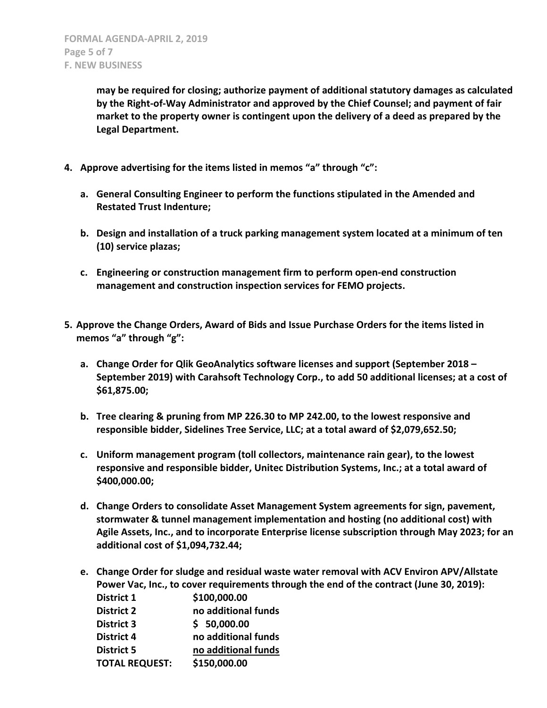**may be required for closing; authorize payment of additional statutory damages as calculated by the Right-of-Way Administrator and approved by the Chief Counsel; and payment of fair market to the property owner is contingent upon the delivery of a deed as prepared by the Legal Department.**

- **4. Approve advertising for the items listed in memos "a" through "c":**
	- **a. General Consulting Engineer to perform the functions stipulated in the Amended and Restated Trust Indenture;**
	- **b. Design and installation of a truck parking management system located at a minimum of ten (10) service plazas;**
	- **c. Engineering or construction management firm to perform open-end construction management and construction inspection services for FEMO projects.**
- **5. Approve the Change Orders, Award of Bids and Issue Purchase Orders for the items listed in memos "a" through "g":**
	- **a. Change Order for Qlik GeoAnalytics software licenses and support (September 2018 – September 2019) with Carahsoft Technology Corp., to add 50 additional licenses; at a cost of \$61,875.00;**
	- **b. Tree clearing & pruning from MP 226.30 to MP 242.00, to the lowest responsive and responsible bidder, Sidelines Tree Service, LLC; at a total award of \$2,079,652.50;**
	- **c. Uniform management program (toll collectors, maintenance rain gear), to the lowest responsive and responsible bidder, Unitec Distribution Systems, Inc.; at a total award of \$400,000.00;**
	- **d. Change Orders to consolidate Asset Management System agreements for sign, pavement, stormwater & tunnel management implementation and hosting (no additional cost) with Agile Assets, Inc., and to incorporate Enterprise license subscription through May 2023; for an additional cost of \$1,094,732.44;**
	- **e. Change Order for sludge and residual waste water removal with ACV Environ APV/Allstate Power Vac, Inc., to cover requirements through the end of the contract (June 30, 2019): District 1 \$100,000.00 District 2 no additional funds**
		- **District 3 \$ 50,000.00**
		- **District 4 no additional funds**
		- **District 5 no additional funds**

**TOTAL REQUEST: \$150,000.00**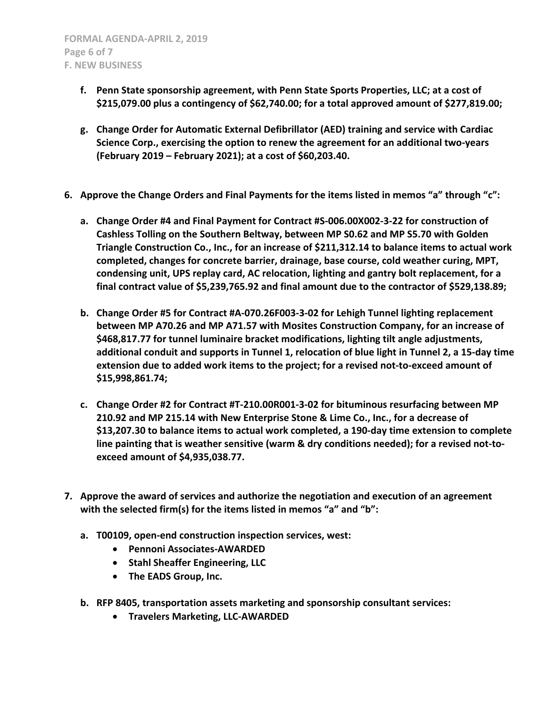- **f. Penn State sponsorship agreement, with Penn State Sports Properties, LLC; at a cost of \$215,079.00 plus a contingency of \$62,740.00; for a total approved amount of \$277,819.00;**
- **g. Change Order for Automatic External Defibrillator (AED) training and service with Cardiac Science Corp., exercising the option to renew the agreement for an additional two-years (February 2019 – February 2021); at a cost of \$60,203.40.**
- **6. Approve the Change Orders and Final Payments for the items listed in memos "a" through "c":**
	- **a. Change Order #4 and Final Payment for Contract #S-006.00X002-3-22 for construction of Cashless Tolling on the Southern Beltway, between MP S0.62 and MP S5.70 with Golden Triangle Construction Co., Inc., for an increase of \$211,312.14 to balance items to actual work completed, changes for concrete barrier, drainage, base course, cold weather curing, MPT, condensing unit, UPS replay card, AC relocation, lighting and gantry bolt replacement, for a final contract value of \$5,239,765.92 and final amount due to the contractor of \$529,138.89;**
	- **b. Change Order #5 for Contract #A-070.26F003-3-02 for Lehigh Tunnel lighting replacement between MP A70.26 and MP A71.57 with Mosites Construction Company, for an increase of \$468,817.77 for tunnel luminaire bracket modifications, lighting tilt angle adjustments, additional conduit and supports in Tunnel 1, relocation of blue light in Tunnel 2, a 15-day time extension due to added work items to the project; for a revised not-to-exceed amount of \$15,998,861.74;**
	- **c. Change Order #2 for Contract #T-210.00R001-3-02 for bituminous resurfacing between MP 210.92 and MP 215.14 with New Enterprise Stone & Lime Co., Inc., for a decrease of \$13,207.30 to balance items to actual work completed, a 190-day time extension to complete line painting that is weather sensitive (warm & dry conditions needed); for a revised not-toexceed amount of \$4,935,038.77.**
- **7. Approve the award of services and authorize the negotiation and execution of an agreement with the selected firm(s) for the items listed in memos "a" and "b":**
	- **a. T00109, open-end construction inspection services, west:**
		- **Pennoni Associates-AWARDED**
		- **•** Stahl Sheaffer Engineering, LLC
		- **The EADS Group, Inc.**
	- **b. RFP 8405, transportation assets marketing and sponsorship consultant services:**
		- **Travelers Marketing, LLC-AWARDED**